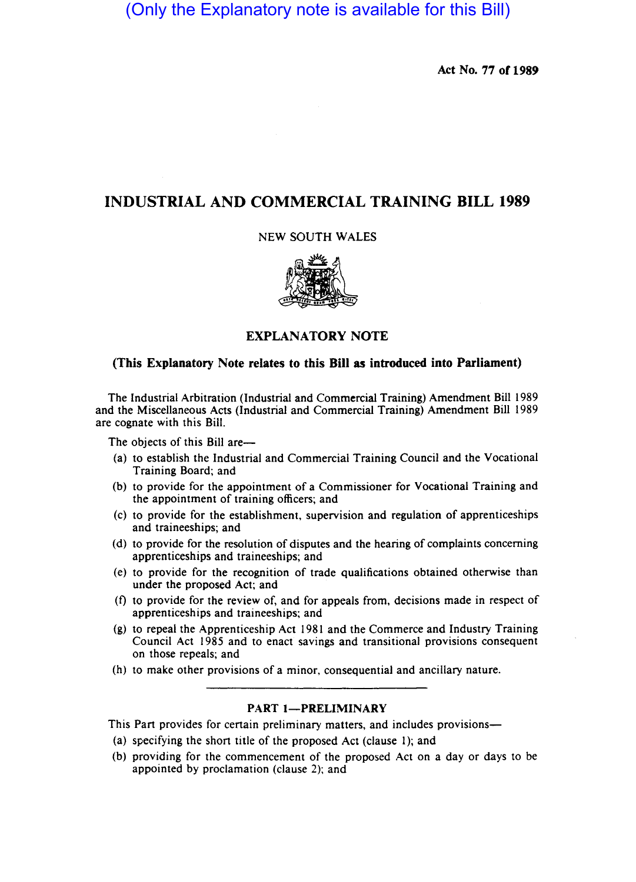# (Only the Explanatory note is available for this Bill)

Act No. 77 of 1989

# INDUSTRIAL AND COMMERClAL TRAINING BILL 1989

NEW SOUTH WALES



### EXPLANATORY NOTE

#### (This Explanatory Note relates to this Bill as introduced into Parliament)

The Industrial Arbitration (Industrial and Commercial Training) Amendment Bill 1989 and the Miscellaneous Acts (Industrial and Commercial Training) Amendment Bill 1989 are cognate with this Bill.

The objects of this Bill are-

- (a) to establish the Industrial and Commercial Training Council and the Vocational Training Board; and
- (b) to provide for the appointment of a Commissioner for Vocational Training and the appointment of training officers; and
- (c) to provide for the establishment. supervision and regulation of apprenticeships and traineeships; and
- (d) to provide for the resolution of disputes and the hearing of complaints concerning apprenticeships and traineeships; and
- (e) to provide for the recognition of trade qualifications obtained otherwise than under the proposed Act; and
- (t) to provide for the review of, and for appeals from, decisions made in respect of apprenticeships and traineeships; and
- (g) to repeal the Apprenticeship Act 1981 and the Commerce and Industry Training Council Act 1985 and to enact savings and transitional provisions consequent on those repeals; and
- (h) to make other provisions of a minor. consequential and ancillary nature.

## PART 1-PRELIMINARY

This Part provides for certain preliminary matters, and includes provisions-

- (a) specifying the short title of the proposed Act (clause I); and
- (b) providing for the commencement of the proposed Act on a day or days to be appointed by proclamation (clause 2); and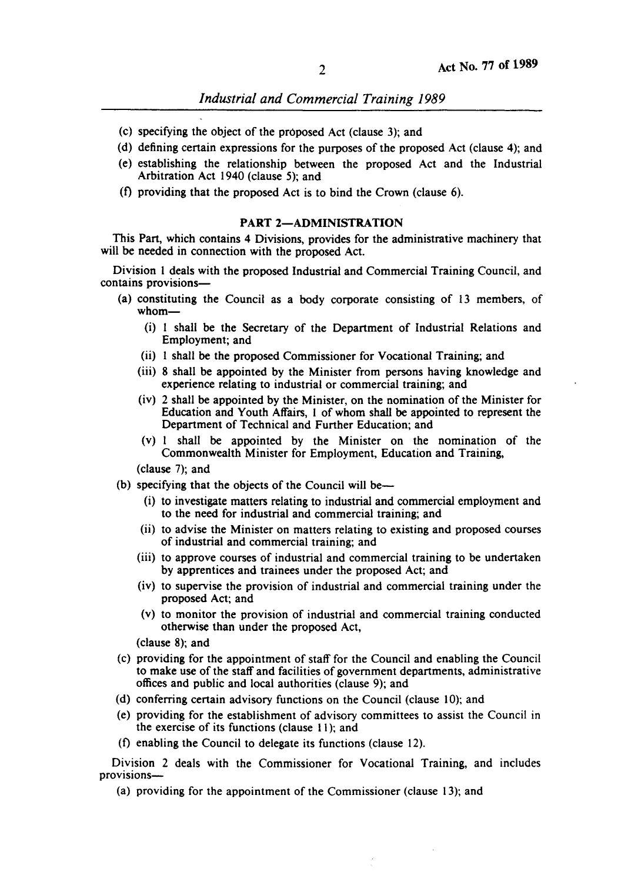*Industrial and Commercial Training 1989* 

- (c) specifying the object of the proposed Act (clause 3); and
- (d) defining certain expressions for the purposes of the proposed Act (clause 4); and
- (e) establishing the relationship between the proposed Act and the Industrial Arbitration Act 1940 (clause 5); and
- (f) providing that the proposed Act is to bind the Crown (clause 6).

#### PART 2-ADMINISTRATION

This Part, which contains 4 Divisions, provides for the administrative machinery that will be needed in connection with the proposed Act.

Division I deals with the proposed Industrial and Commercial Training Council, and contains provisions-

- (a) constituting the Council as a body corporate consisting of 13 members, of whom-
	- (i) I shall be the Secretary of the Department of Industrial Relations and Employment; and
	- (ii) I shall be the proposed Commissioner for Vocational Training; and
	- (iii) 8 shall be appointed by the Minister from persons having knowledge and experience relating to industrial or commercial training; and
	- (iv) 2 shall be appointed by the Minister, on the nomination of the Minister for Education and Youth Affairs, I of whom shall be appointed to represent the Department of Technical and Further Education; and
	- (v) I shall be appointed by the Minister on the nomination of the Commonwealth Minister for Employment, Education and Training,

(clause 7); and

- (b) specifying that the objects of the Council will be-
	- (i) to investigate matters relating to industrial and commercial employment and to the need for industrial and commercial training; and
	- (ii) to advise the Minister on matters relating to existing and proposed courses of industrial and commercial training; and
	- (iii) to approve courses of industrial and commercial training to be undertaken by apprentices and trainees under the proposed Act; and
	- (iv) to supervise the provision of industrial and commercial training under the proposed Act; and
	- (v) to monitor the provision of industrial and commercial training conducted otherwise than under the proposed Act,

(clause 8); and

- (c) providing for the appointment of staff for the Council and enabling the Council to make use of the staff and facilities of government departments, administrative offices and public and local authorities (clause 9); and
- (d) conferring certain advisory functions on the Council (clause  $10$ ); and
- (e) providing for the establishment of advisory committees to assist the Council in the exercise of its functions (clause  $11$ ); and
- (f) enabling the Council to delegate its functions (clause 12).

Division 2 deals with the Commissioner for Vocational Training, and includes provisions-

(a) providing for the appointment of the Commissioner (clause 13); and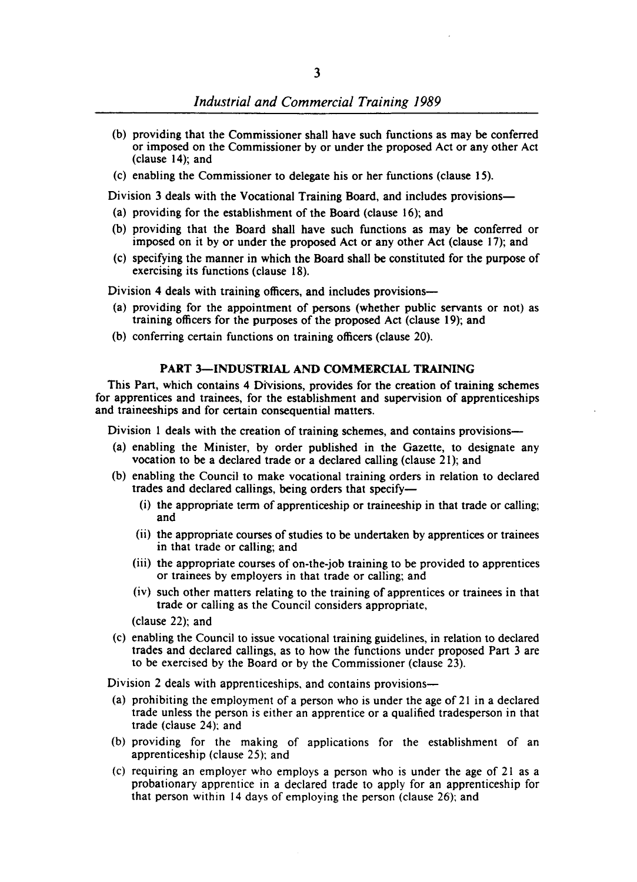- (b) providing that the Commissioner shall have such functions as may be conferred or imposed on the Commissioner by or under the proposed Act or any other Act (clause 14); and
- (c) enabling the Commissioner to delegate his or her functions (clause 15).

Division 3 deals with the Vocational Training Board, and includes provisions—

- (a) providing for the establishment of the Board (clause 16); and
- (b) providing that the Board shall have such functions as may be conferred or imposed on it by or under the proposed Act or any other Act (clause 17); and
- (c) specifying the manner in which the Board shall be constituted for the purpose of exercising its functions (clause 18),

Division 4 deals with training officers, and includes provisions—

- (a) providing for the appointment of persons (whether public servants or not) as training officers for the purposes of the proposed Act (clause 19); and
- (b) conferring certain functions on training officers (clause 20),

#### PART 3-INDUSTRIAL AND COMMERCIAL TRAINING

This Part, which contains 4 Divisions, provides for the creation of training schemes for apprentices and trainees, for the establishment and supervision of apprenticeships and traineeships and for certain consequential matters.

Division 1 deals with the creation of training schemes, and contains provisions-

- (a) enabling the Minister, by order published in the Gazette, to designate any vocation to be a declared trade or a declared calling (clause 21); and
- (b) enabling the Council to make vocational training orders in relation to declared trades and declared callings, being orders that specify-
	- (i) the appropriate term of apprenticeship or traineeship in that trade or calling; and
	- (ii) the appropriate courses of studies to be undertaken by apprentices or trainees in that trade or calling; and
	- (jji) the appropriate courses of on-the-job training to be provided to apprentices or trainees by employers in that trade or calling; and
	- (iv) such other matters relating to the training of apprentices or trainees in that trade or calling as the Council considers appropriate,

(clause 22); and

(c) enabling the Council to issue vocational training guidelines, in relation to declared trades and declared callings, as to how the functions under proposed Part 3 are to be exercised by the Board or by the Commissioner (clause 23),

Division 2 deals with apprenticeships, and contains provisions—

- (a) prohibiting the employment of a person who is under the age of 21 in a declared trade unless the person is either an apprentice or a qualified tradesperson in that trade (clause 24); and
- (b) providing for the making of applications for the establishment of an apprenticeship (clause 25); and
- (c) requiring an employer who employs a person who is under the age of 21 as a probationary apprentice in a declared trade to apply for an apprenticeship for that person within 14 days of employing the person (clause 26); and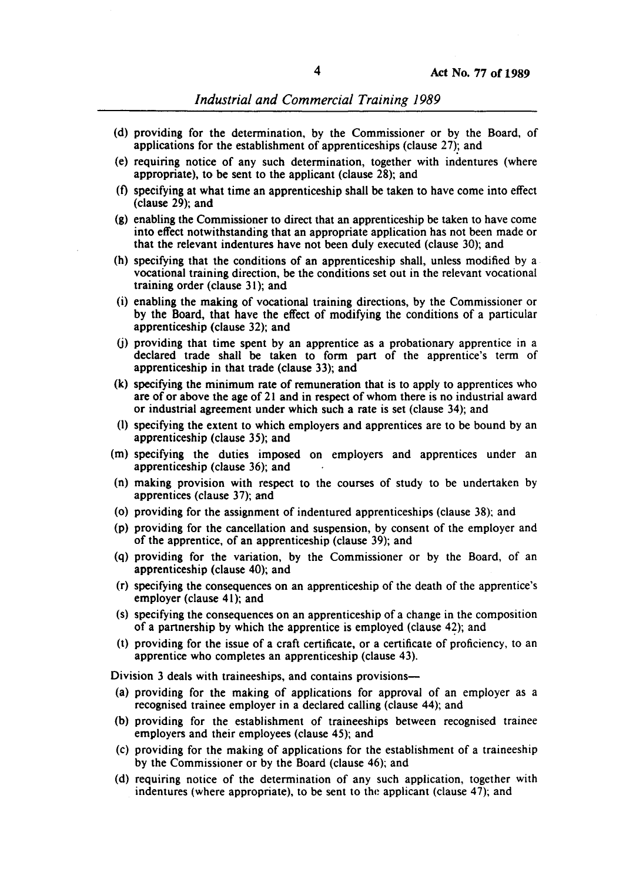- (d) providing for the determination, by the Commissioner or by the Board, of applications for the establishment of apprenticeships (clause 27); and
- (e) requiring notice of any such determination, together with indentures (where appropriate), to be sent to the applicant (clause 28); and
- (f) specifying at what time an apprenticeship shall be taken to have come into effect (clause 29); and
- (g) enabling the Commissioner to direct that an apprenticeship be taken to have come into effect notwithstanding that an appropriate application has not been made or that the relevant indentures have not been duly executed (clause 30); and
- (h) specifying that the conditions of an apprenticeship shall, unless modified by a vocational training direction, be the conditions set out in the relevant vocational training order (clause 31); and
- (i) enabling the making of vocational training directions, by the Commissioner or by the Board, that have the effect of modifying the conditions of a particular apprenticeship (clause 32); and
- (j) providing that time spent by an apprentice as a probationary apprentice in a declared trade shall be taken to form part of the apprentice's term of apprenticeship in that trade (clause 33); and
- (k) specifying the minimum rate of remuneration that is to apply to apprentices who are of or above the age of 21 and in respect of whom there is no industrial award or industrial agreement under which such a rate is set (clause 34); and
- (I) specifying the extent to which employers and apprentices are to be bound by an apprenticeship (clause 35); and
- (m) specifying the duties imposed on employers and apprentices under an apprenticeship (clause 36); and
- (n) making provision with respect to the courses of study to be undertaken by apprentices (clause 37); and
- (0) providing for the assignment of indentured apprenticeships (clause 38); and
- (p) providing for the cancellation and suspension, by consent of the employer and of the apprentice, of an apprenticeship (clause 39); and
- (q) providing for the variation, by the Commissioner or by the Board, of an apprenticeship (clause 40); and
- (r) specifying the consequences on an apprenticeship of the death of the apprentice's employer (clause 41); and
- (s) specifying the consequences on an apprenticeship of a change in the composition of a partnership by which the apprentice is employed (clause 42); and
- (t) providing for the issue of a craft certificate, or a certificate of proficiency, to an apprentice who completes an apprenticeship (clause 43).

Division 3 deals with traineeships, and contains provisions-

- (a) providing for the making of applications for approval of an employer as a recognised trainee employer in a declared calling (clause 44); and
- (b) providing for the establishment of traineeships between recognised trainee employers and their employees (clause 45); and
- (c) providing for the making of applications for the establishment of a traineeship by the Commissioner or by the Board (clause 46); and
- (d) requiring notice of the determination of any such application, together with indentures (where appropriate), to be sent to the applicant (clause 47); and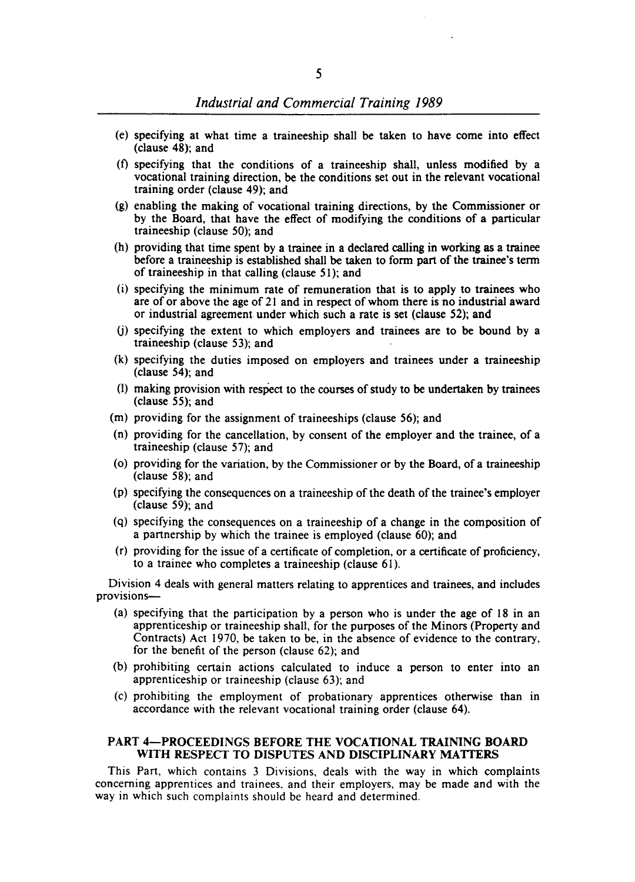- (e) specifying at what time a traineeship shall be taken to have come into effect (clause 48); and
- (t) specifying that the conditions of a traineeship shall, unless modified by a vocational training direction, be the conditions set out in the relevant vocational training order (clause 49); and
- (g) enabling the making of vocational training directions, by the Commissioner or by the Board, that have the effect of modifying the conditions of a particular traineeship (clause 50); and
- (h) providing that time spent by a trainee in a declared calling in working as a trainee before a traineeship is established shall be taken to form part of the trainee's term of traineeship in that calling (clause 51); and
- (i) specifying the minimum rate of remuneration that is to apply to trainees who are of or above the age of 21 and in respect of whom there is no industrial award or industrial agreement under which such a rate is set (clause 52); and
- (j) specifying the extent to which employers and trainees are to be bound by a traineeship (clause 53); and
- (k) specifying the duties imposed on employers and trainees under a traineeship (clause 54); and
- (1) making provision with respect to the courses of study to be undertaken by trainees (clause 55); and
- (m) providing for the assignment of traineeships (clause 56); and
- (n) providing for the cancellation, by consent of the employer and the trainee, of a traineeship (clause 57); and
- (0) providing for the variation, by the Commissioner or by the Board, of a traineeship (clause 58); and
- (p) specifying the consequences on a traineeship of the death of the trainee's employer (clause 59); and
- (q) specifying the consequences on a traineeship of a change in the composition of a partnership by which the trainee is employed (clause 60); and
- (r) providing for the issue of a certificate of completion, or a certificate of proficiency, to a trainee who completes a traineeship (clause 61).

Division 4 deals with general matters relating to apprentices and trainees, and includes provisions-

- (a) specifying that the participation by a person who is under the age of 18 in an apprenticeship or traineeship shall, for the purposes of the Minors (Property and Contracts) Act 1970, be taken to be, in the absence of evidence to the contrary, for the benefit of the person (clause 62); and
- (b) prohibiting certain actions calculated to induce a person to enter into an apprenticeship or traineeship (clause 63); and
- (c) prohibiting the employment of probationary apprentices otherwise than in accordance with the relevant vocational training order (clause 64).

#### PART 4-PROCEEDINGS BEFORE THE VOCATIONAL TRAINING BOARD WITH RESPECT TO DISPUTES AND DISCIPLINARY MATTERS

This Part, which contains 3 Divisions, deals with the way in which complaints concerning apprentices and trainees. and their employers, may be made and with the way in which such complaints should be heard and determined.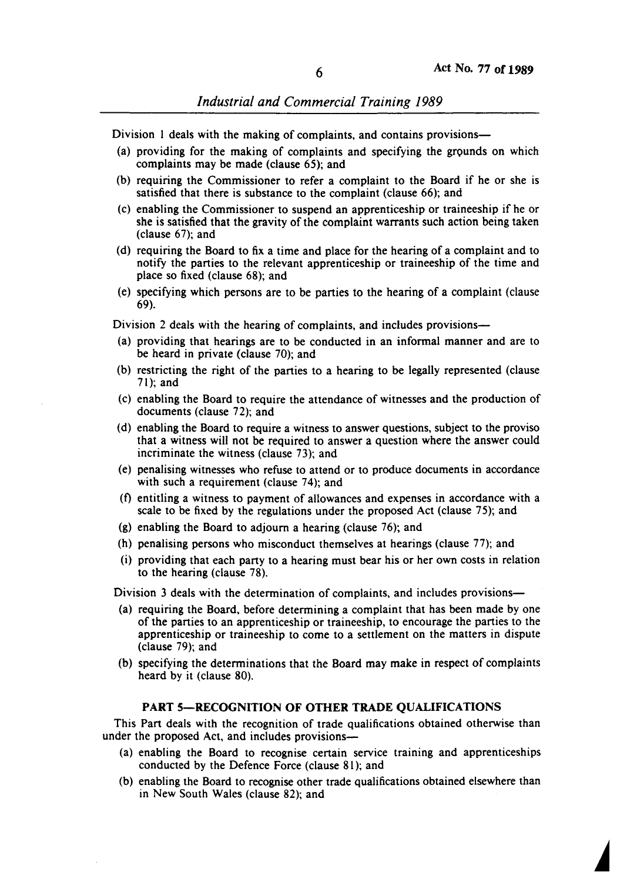*Industrial and Commercial Training 1989* 

Division 1 deals with the making of complaints, and contains provisions-

- (a) providing for the making of complaints and specifying the grounds on which complaints may be made (clause 65); and
- (b) requiring the Commissioner to refer a complaint to the Board if he or she is satisfied that there is substance to the complaint (clause 66); and
- (c) enabling the Commissioner to suspend an apprenticeship or traineeship if he or she is satisfied that the gravity of the complaint warrants such action being taken (clause 67); and
- (d) requiring the Board to fix a time and place for the hearing of a complaint and to notify the parties to the relevant apprenticeship or traineeship of the time and place so fixed (clause 68); and
- (e) specifying which persons are to be parties to the hearing of a complaint (clause 69).

Division 2 deals with the hearing of complaints, and includes provisions-

- (a) providing that hearings are to be conducted in an informal manner and are to be heard in private (clause 70); and
- (b) restricting the right of the parties to a hearing to be legally represented (clause 71); and
- (c) enabling the Board to require the attendance of witnesses and the production of documents (clause 72); and
- (d) enabling the Board to require a witness to answer questions, subject to the proviso that a witness will not be required to answer a question where the answer could incriminate the witness (clause 73); and
- (e) penalising witnesses who refuse to attend or to produce documents in accordance with such a requirement (clause 74); and
- (t) entitling a witness to payment of allowances and expenses in accordance with a scale to be fixed by the regulations under the proposed Act (clause 75); and
- (g) enabling the Board to adjourn a hearing (clause 76); and
- (h) penalising persons who misconduct themselves at hearings (clause 77); and
- (i) providing that each party to a hearing must bear his or her own costs in relation to the hearing (clause 78).

Division 3 deals with the determination of complaints, and includes provisions—

- (a) requiring the Board, before determining a complaint that has been made by one of the parties to an apprenticeship or traineeship, to encourage the parties to the apprenticeship or traineeship to come to a settlement on the matters in dispute (clause 79); and
- (b) specifying the determinations that the Board may make in respect of complaints heard by it (clause 80).

#### PART 5-RECOGNITION OF OTHER TRADE QUALIFICATIONS

This Part deals with the recognition of trade qualifications obtained otherwise than under the proposed Act, and includes provisions-

- (a) enabling the Board to recognise certain service training and apprenticeships conducted by the Defence Force (clause 81); and
- (b) enabling the Board to recognise other trade qualifications obtained elsewhere than in New South Wales (clause 82); and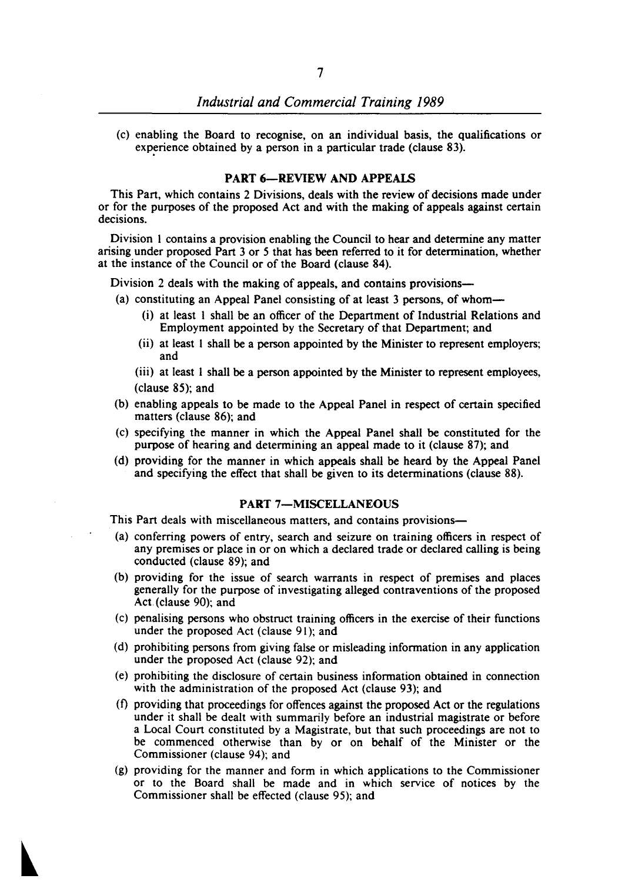(c) enabling the Board to recognise, on an individual basis, the qualifications or experience obtained by a person in a particular trade (clause 83).

#### PART 6-REVIEW AND APPEALS

This Part, which contains 2 Divisions, deals with the review of decisions made under or for the purposes of the proposed Act and with the making of appeals against certain decisions.

Division I contains a provision enabling the Council to hear and determine any matter arising under proposed Part 3 or 5 that has been referred to it for determination, whether at the instance of the Council or of the Board (clause 84).

Division 2 deals with the making of appeals, and contains provisions-

- (a) constituting an Appeal Panel consisting of at least 3 persons, of whom-
	- (i) at least I shall be an officer of the Department of Industrial Relations and Employment appointed by the Secretary of that Department; and
	- (ii) at least I shall be a person appointed by the Minister to represent employers; and
	- (iii) at least I shall be a person appointed by the Minister to represent employees, (clause 85); and
- (b) enabling appeals to be made to the Appeal Panel in respect of certain specified matters (clause 86); and
- (c) specifying the manner in which the Appeal Panel shall be constituted for the purpose of hearing and determining an appeal made to it (clause 87); and
- (d) providing for the manner in which appeals shall be heard by the Appeal Panel and specifying the effect that shall be given to its determinations (clause 88).

#### PART 7-MISCELLANEOUS

This Part deals with miscellaneous matters, and contains provisions-

- (a) conferring powers of entry, search and seizure on training officers in respect of any premises or place in or on which a declared trade or declared calling is being conducted (clause 89); and
- (b) providing for the issue of search warrants in respect of premises and places generally for the purpose of investigating alleged contraventions of the proposed Act.{c1ause 90); and
- (c) penalising persons who obstruct training officers in the exercise of their functions under the proposed Act (clause 91); and
- (d) prohibiting persons from giving false or misleading information in any application under the proposed Act (clause 92); and
- (e) prohibiting the disclosure of certain business information obtained in connection with the administration of the proposed Act (clause 93); and
- (t) providing that proceedings for offences against the proposed Act or the regulations under it shall be dealt with summarily before an industrial magistrate or before a Local Court constituted by a Magistrate, but that such proceedings are not to be commenced otherwise than by or on behalf of the Minister or the Commissioner (clause 94); and
- (g) providing for the manner and form in which applications to the Commissioner or to the Board shall be made and in which service of notices by the Commissioner shall be effected (clause 95); and